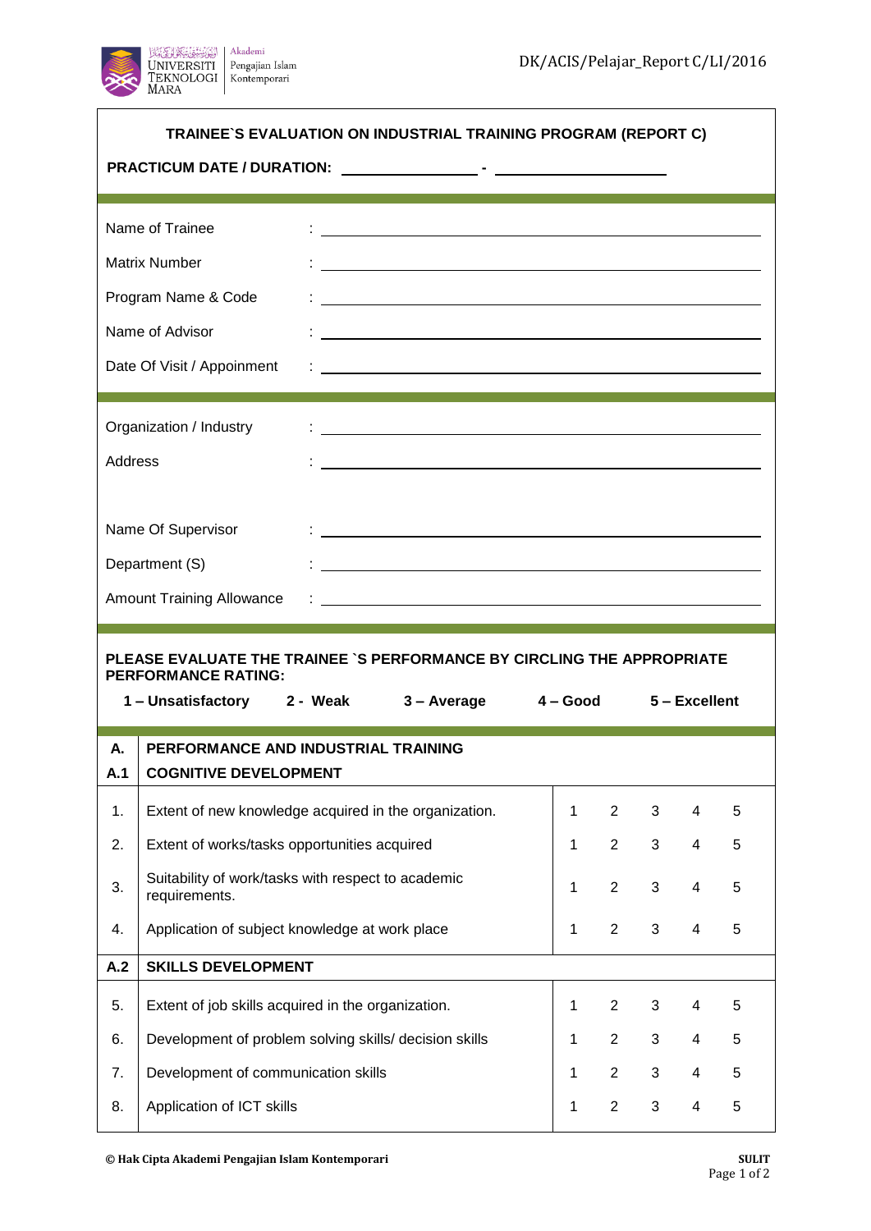┑



 $\overline{\phantom{a}}$ 

| TRAINEE`S EVALUATION ON INDUSTRIAL TRAINING PROGRAM (REPORT C)           |                                                                                                                                                                |              |                |                |   |   |  |  |  |
|--------------------------------------------------------------------------|----------------------------------------------------------------------------------------------------------------------------------------------------------------|--------------|----------------|----------------|---|---|--|--|--|
|                                                                          | Name of Trainee                                                                                                                                                |              |                |                |   |   |  |  |  |
|                                                                          | <b>Matrix Number</b>                                                                                                                                           |              |                |                |   |   |  |  |  |
| Program Name & Code                                                      |                                                                                                                                                                |              |                |                |   |   |  |  |  |
| Name of Advisor                                                          |                                                                                                                                                                |              |                |                |   |   |  |  |  |
|                                                                          | Date Of Visit / Appoinment                                                                                                                                     |              |                |                |   |   |  |  |  |
| Organization / Industry<br><u> 1980 - Andrea Andrew Maria (h. 1980).</u> |                                                                                                                                                                |              |                |                |   |   |  |  |  |
| <b>Address</b>                                                           |                                                                                                                                                                |              |                |                |   |   |  |  |  |
| Name Of Supervisor                                                       |                                                                                                                                                                |              |                |                |   |   |  |  |  |
| Department (S)                                                           |                                                                                                                                                                |              |                |                |   |   |  |  |  |
| <b>Amount Training Allowance</b>                                         |                                                                                                                                                                |              |                |                |   |   |  |  |  |
|                                                                          |                                                                                                                                                                |              |                |                |   |   |  |  |  |
|                                                                          | PLEASE EVALUATE THE TRAINEE `S PERFORMANCE BY CIRCLING THE APPROPRIATE<br><b>PERFORMANCE RATING:</b><br>1-Unsatisfactory 2 - Weak 3-Average 4-Good 5-Excellent |              |                |                |   |   |  |  |  |
| А.                                                                       | PERFORMANCE AND INDUSTRIAL TRAINING                                                                                                                            |              |                |                |   |   |  |  |  |
| A.1                                                                      | <b>COGNITIVE DEVELOPMENT</b>                                                                                                                                   |              |                |                |   |   |  |  |  |
| 1.                                                                       | Extent of new knowledge acquired in the organization.                                                                                                          | $\mathbf 1$  | $\overline{2}$ | 3              | 4 | 5 |  |  |  |
| 2.                                                                       | Extent of works/tasks opportunities acquired                                                                                                                   | $\mathbf{1}$ | $\overline{2}$ | 3              | 4 | 5 |  |  |  |
| 3.                                                                       | Suitability of work/tasks with respect to academic<br>requirements.                                                                                            | $\mathbf{1}$ | $\overline{2}$ | 3              | 4 | 5 |  |  |  |
| 4.                                                                       | Application of subject knowledge at work place                                                                                                                 | $\mathbf 1$  | $\overline{2}$ | $\mathbf{3}$   | 4 | 5 |  |  |  |
| A.2                                                                      | <b>SKILLS DEVELOPMENT</b>                                                                                                                                      |              |                |                |   |   |  |  |  |
| 5.                                                                       | Extent of job skills acquired in the organization.                                                                                                             | $\mathbf 1$  | $\overline{2}$ | 3              | 4 | 5 |  |  |  |
| 6.                                                                       | Development of problem solving skills/ decision skills                                                                                                         | $\mathbf{1}$ | $\overline{2}$ | $\mathfrak{S}$ | 4 | 5 |  |  |  |
| 7.                                                                       | Development of communication skills                                                                                                                            | $\mathbf{1}$ | $\overline{2}$ | $\mathfrak{S}$ | 4 | 5 |  |  |  |